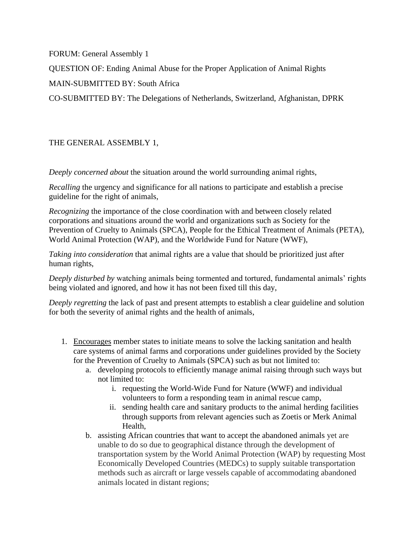FORUM: General Assembly 1

QUESTION OF: Ending Animal Abuse for the Proper Application of Animal Rights

MAIN-SUBMITTED BY: South Africa

CO-SUBMITTED BY: The Delegations of Netherlands, Switzerland, Afghanistan, DPRK

## THE GENERAL ASSEMBLY 1,

*Deeply concerned about* the situation around the world surrounding animal rights,

*Recalling* the urgency and significance for all nations to participate and establish a precise guideline for the right of animals,

*Recognizing* the importance of the close coordination with and between closely related corporations and situations around the world and organizations such as Society for the Prevention of Cruelty to Animals (SPCA), People for the Ethical Treatment of Animals (PETA), World Animal Protection (WAP), and the Worldwide Fund for Nature (WWF),

*Taking into consideration* that animal rights are a value that should be prioritized just after human rights,

*Deeply disturbed by* watching animals being tormented and tortured, fundamental animals' rights being violated and ignored, and how it has not been fixed till this day,

*Deeply regretting* the lack of past and present attempts to establish a clear guideline and solution for both the severity of animal rights and the health of animals,

- 1. Encourages member states to initiate means to solve the lacking sanitation and health care systems of animal farms and corporations under guidelines provided by the Society for the Prevention of Cruelty to Animals (SPCA) such as but not limited to:
	- a. developing protocols to efficiently manage animal raising through such ways but not limited to:
		- i. requesting the World-Wide Fund for Nature (WWF) and individual volunteers to form a responding team in animal rescue camp,
		- ii. sending health care and sanitary products to the animal herding facilities through supports from relevant agencies such as Zoetis or Merk Animal Health,
	- b. assisting African countries that want to accept the abandoned animals yet are unable to do so due to geographical distance through the development of transportation system by the World Animal Protection (WAP) by requesting Most Economically Developed Countries (MEDCs) to supply suitable transportation methods such as aircraft or large vessels capable of accommodating abandoned animals located in distant regions;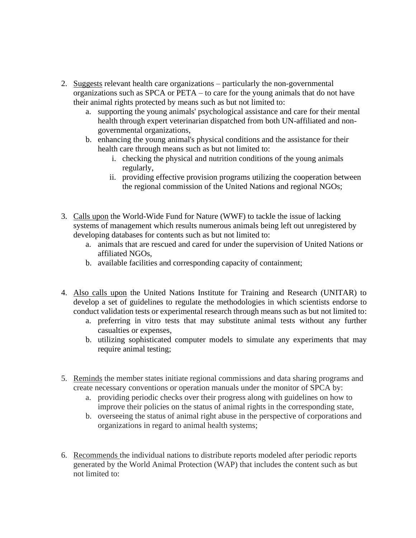- 2. Suggests relevant health care organizations particularly the non-governmental organizations such as SPCA or PETA – to care for the young animals that do not have their animal rights protected by means such as but not limited to:
	- a. supporting the young animals' psychological assistance and care for their mental health through expert veterinarian dispatched from both UN-affiliated and nongovernmental organizations,
	- b. enhancing the young animal's physical conditions and the assistance for their health care through means such as but not limited to:
		- i. checking the physical and nutrition conditions of the young animals regularly,
		- ii. providing effective provision programs utilizing the cooperation between the regional commission of the United Nations and regional NGOs;
- 3. Calls upon the World-Wide Fund for Nature (WWF) to tackle the issue of lacking systems of management which results numerous animals being left out unregistered by developing databases for contents such as but not limited to:
	- a. animals that are rescued and cared for under the supervision of United Nations or affiliated NGOs,
	- b. available facilities and corresponding capacity of containment;
- 4. Also calls upon the United Nations Institute for Training and Research (UNITAR) to develop a set of guidelines to regulate the methodologies in which scientists endorse to conduct validation tests or experimental research through means such as but not limited to:
	- a. preferring in vitro tests that may substitute animal tests without any further casualties or expenses,
	- b. utilizing sophisticated computer models to simulate any experiments that may require animal testing;
- 5. Reminds the member states initiate regional commissions and data sharing programs and create necessary conventions or operation manuals under the monitor of SPCA by:
	- a. providing periodic checks over their progress along with guidelines on how to improve their policies on the status of animal rights in the corresponding state,
	- b. overseeing the status of animal right abuse in the perspective of corporations and organizations in regard to animal health systems;
- 6. Recommends the individual nations to distribute reports modeled after periodic reports generated by the World Animal Protection (WAP) that includes the content such as but not limited to: